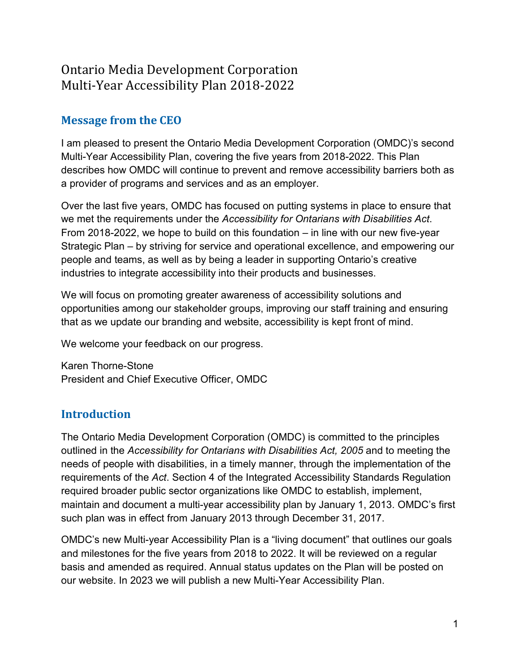# Ontario Media Development Corporation Multi-Year Accessibility Plan 2018-2022

## **Message from the CEO**

I am pleased to present the Ontario Media Development Corporation (OMDC)'s second Multi-Year Accessibility Plan, covering the five years from 2018-2022. This Plan describes how OMDC will continue to prevent and remove accessibility barriers both as a provider of programs and services and as an employer.

Over the last five years, OMDC has focused on putting systems in place to ensure that we met the requirements under the *Accessibility for Ontarians with Disabilities Act*. From 2018-2022, we hope to build on this foundation – in line with our new five-year Strategic Plan – by striving for service and operational excellence, and empowering our people and teams, as well as by being a leader in supporting Ontario's creative industries to integrate accessibility into their products and businesses.

We will focus on promoting greater awareness of accessibility solutions and opportunities among our stakeholder groups, improving our staff training and ensuring that as we update our branding and website, accessibility is kept front of mind.

We welcome your feedback on our progress.

Karen Thorne-Stone President and Chief Executive Officer, OMDC

## **Introduction**

The Ontario Media Development Corporation (OMDC) is committed to the principles outlined in the *Accessibility for Ontarians with Disabilities Act, 2005* and to meeting the needs of people with disabilities, in a timely manner, through the implementation of the requirements of the *Act*. Section 4 of the Integrated Accessibility Standards Regulation required broader public sector organizations like OMDC to establish, implement, maintain and document a multi-year accessibility plan by January 1, 2013. OMDC's first such plan was in effect from January 2013 through December 31, 2017.

OMDC's new Multi-year Accessibility Plan is a "living document" that outlines our goals and milestones for the five years from 2018 to 2022. It will be reviewed on a regular basis and amended as required. Annual status updates on the Plan will be posted on our website. In 2023 we will publish a new Multi-Year Accessibility Plan.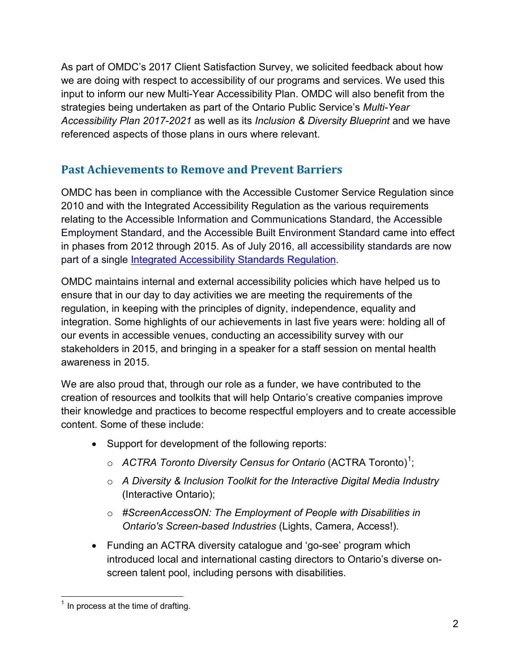As part of OMDC's 2017 Client Satisfaction Survey, we solicited feedback about how we are doing with respect to accessibility of our programs and services. We used this input to inform our new Multi-Year Accessibility Plan. OMDC will also benefit from the strategies being undertaken as part of the Ontario Public Service's *Multi-Year Accessibility Plan 2017-2021* as well as its *Inclusion & Diversity Blueprint* and we have referenced aspects of those plans in ours where relevant.

### **Past Achievements to Remove and Prevent Barriers**

OMDC has been in compliance with the Accessible Customer Service Regulation since 2010 and with the Integrated Accessibility Regulation as the various requirements relating to the Accessible Information and Communications Standard, the Accessible Employment Standard, and the Accessible Built Environment Standard came into effect in phases from 2012 through 2015. As of July 2016, all accessibility standards are now part of a single [Integrated Accessibility Standards Regulation.](https://www.ontario.ca/laws/regulation/110191)

OMDC maintains internal and external accessibility policies which have helped us to ensure that in our day to day activities we are meeting the requirements of the regulation, in keeping with the principles of dignity, independence, equality and integration. Some highlights of our achievements in last five years were: holding all of our events in accessible venues, conducting an accessibility survey with our stakeholders in 2015, and bringing in a speaker for a staff session on mental health awareness in 2015.

We are also proud that, through our role as a funder, we have contributed to the creation of resources and toolkits that will help Ontario's creative companies improve their knowledge and practices to become respectful employers and to create accessible content. Some of these include:

- Support for development of the following reports:
	- o ACTRA Toronto Diversity Census for Ontario (ACTRA Toronto)<sup>[1](#page-1-0)</sup>;
	- o *A Diversity & Inclusion Toolkit for the Interactive Digital Media Industry* (Interactive Ontario);
	- o *#ScreenAccessON: The Employment of People with Disabilities in Ontario's Screen-based Industries* (Lights, Camera, Access!).
- Funding an ACTRA diversity catalogue and 'go-see' program which introduced local and international casting directors to Ontario's diverse onscreen talent pool, including persons with disabilities.

<span id="page-1-0"></span> $\overline{\phantom{a}}$  $^1$  In process at the time of drafting.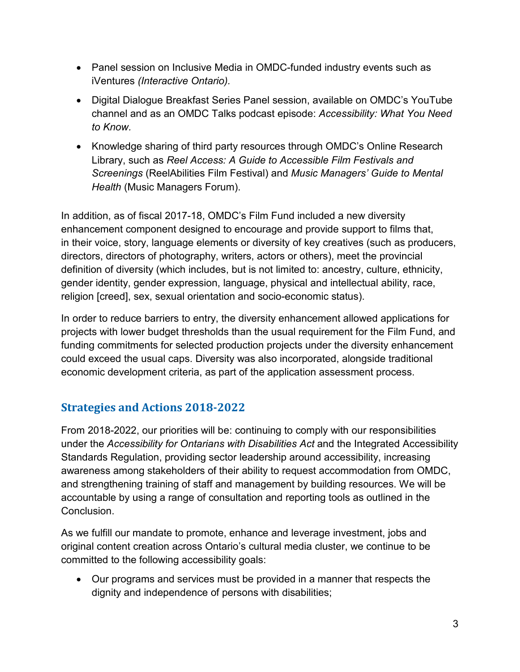- Panel session on Inclusive Media in OMDC-funded industry events such as iVentures *(Interactive Ontario).*
- Digital Dialogue Breakfast Series Panel session, available on OMDC's YouTube channel and as an OMDC Talks podcast episode: *Accessibility: What You Need to Know.*
- Knowledge sharing of third party resources through OMDC's Online Research Library, such as *Reel Access: A Guide to Accessible Film Festivals and Screenings* (ReelAbilities Film Festival) and *Music Managers' Guide to Mental Health* (Music Managers Forum).

In addition, as of fiscal 2017-18, OMDC's Film Fund included a new diversity enhancement component designed to encourage and provide support to films that, in their voice, story, language elements or diversity of key creatives (such as producers, directors, directors of photography, writers, actors or others), meet the provincial definition of diversity (which includes, but is not limited to: ancestry, culture, ethnicity, gender identity, gender expression, language, physical and intellectual ability, race, religion [creed], sex, sexual orientation and socio-economic status).

In order to reduce barriers to entry, the diversity enhancement allowed applications for projects with lower budget thresholds than the usual requirement for the Film Fund, and funding commitments for selected production projects under the diversity enhancement could exceed the usual caps. Diversity was also incorporated, alongside traditional economic development criteria, as part of the application assessment process.

## **Strategies and Actions 2018-2022**

From 2018-2022, our priorities will be: continuing to comply with our responsibilities under the *Accessibility for Ontarians with Disabilities Act* and the Integrated Accessibility Standards Regulation, providing sector leadership around accessibility, increasing awareness among stakeholders of their ability to request accommodation from OMDC, and strengthening training of staff and management by building resources. We will be accountable by using a range of consultation and reporting tools as outlined in the Conclusion.

As we fulfill our mandate to promote, enhance and leverage investment, jobs and original content creation across Ontario's cultural media cluster, we continue to be committed to the following accessibility goals:

• Our programs and services must be provided in a manner that respects the dignity and independence of persons with disabilities;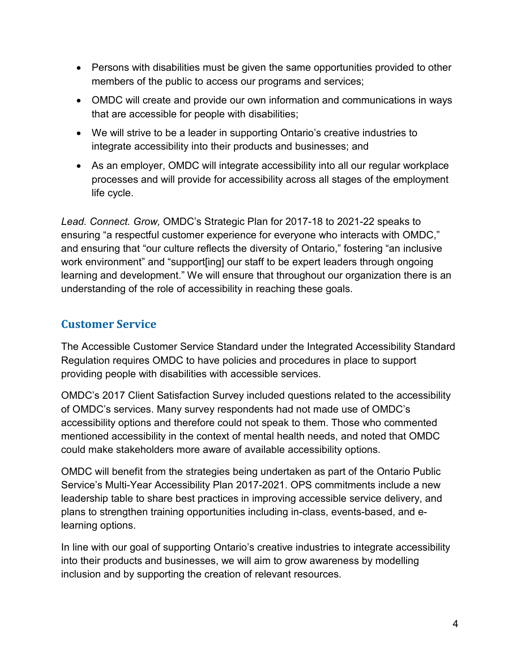- Persons with disabilities must be given the same opportunities provided to other members of the public to access our programs and services;
- OMDC will create and provide our own information and communications in ways that are accessible for people with disabilities;
- We will strive to be a leader in supporting Ontario's creative industries to integrate accessibility into their products and businesses; and
- As an employer, OMDC will integrate accessibility into all our regular workplace processes and will provide for accessibility across all stages of the employment life cycle.

*Lead. Connect. Grow,* OMDC's Strategic Plan for 2017-18 to 2021-22 speaks to ensuring "a respectful customer experience for everyone who interacts with OMDC," and ensuring that "our culture reflects the diversity of Ontario," fostering "an inclusive work environment" and "support[ing] our staff to be expert leaders through ongoing learning and development." We will ensure that throughout our organization there is an understanding of the role of accessibility in reaching these goals.

## **Customer Service**

The Accessible Customer Service Standard under the Integrated Accessibility Standard Regulation requires OMDC to have policies and procedures in place to support providing people with disabilities with accessible services.

OMDC's 2017 Client Satisfaction Survey included questions related to the accessibility of OMDC's services. Many survey respondents had not made use of OMDC's accessibility options and therefore could not speak to them. Those who commented mentioned accessibility in the context of mental health needs, and noted that OMDC could make stakeholders more aware of available accessibility options.

OMDC will benefit from the strategies being undertaken as part of the Ontario Public Service's Multi-Year Accessibility Plan 2017-2021. OPS commitments include a new leadership table to share best practices in improving accessible service delivery, and plans to strengthen training opportunities including in-class, events-based, and elearning options.

In line with our goal of supporting Ontario's creative industries to integrate accessibility into their products and businesses, we will aim to grow awareness by modelling inclusion and by supporting the creation of relevant resources.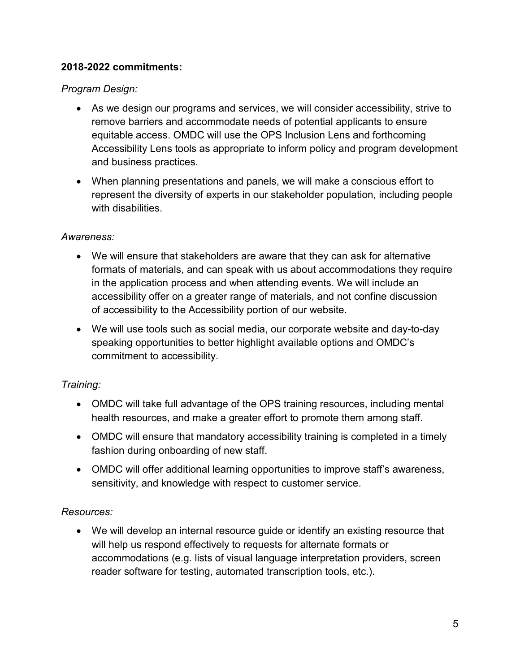#### **2018-2022 commitments:**

*Program Design:*

- As we design our programs and services, we will consider accessibility, strive to remove barriers and accommodate needs of potential applicants to ensure equitable access. OMDC will use the OPS Inclusion Lens and forthcoming Accessibility Lens tools as appropriate to inform policy and program development and business practices.
- When planning presentations and panels, we will make a conscious effort to represent the diversity of experts in our stakeholder population, including people with disabilities.

#### *Awareness:*

- We will ensure that stakeholders are aware that they can ask for alternative formats of materials, and can speak with us about accommodations they require in the application process and when attending events. We will include an accessibility offer on a greater range of materials, and not confine discussion of accessibility to the Accessibility portion of our website.
- We will use tools such as social media, our corporate website and day-to-day speaking opportunities to better highlight available options and OMDC's commitment to accessibility.

### *Training:*

- OMDC will take full advantage of the OPS training resources, including mental health resources, and make a greater effort to promote them among staff.
- OMDC will ensure that mandatory accessibility training is completed in a timely fashion during onboarding of new staff.
- OMDC will offer additional learning opportunities to improve staff's awareness, sensitivity, and knowledge with respect to customer service.

### *Resources:*

• We will develop an internal resource guide or identify an existing resource that will help us respond effectively to requests for alternate formats or accommodations (e.g. lists of visual language interpretation providers, screen reader software for testing, automated transcription tools, etc.).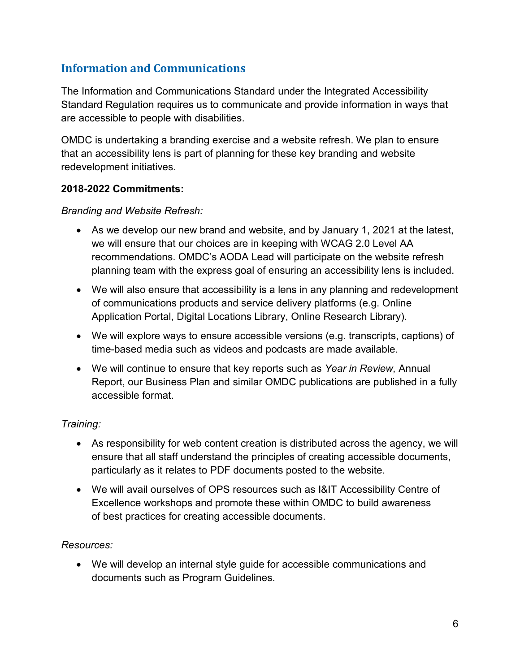## **Information and Communications**

The Information and Communications Standard under the Integrated Accessibility Standard Regulation requires us to communicate and provide information in ways that are accessible to people with disabilities.

OMDC is undertaking a branding exercise and a website refresh. We plan to ensure that an accessibility lens is part of planning for these key branding and website redevelopment initiatives.

#### **2018-2022 Commitments:**

#### *Branding and Website Refresh:*

- As we develop our new brand and website, and by January 1, 2021 at the latest, we will ensure that our choices are in keeping with WCAG 2.0 Level AA recommendations. OMDC's AODA Lead will participate on the website refresh planning team with the express goal of ensuring an accessibility lens is included.
- We will also ensure that accessibility is a lens in any planning and redevelopment of communications products and service delivery platforms (e.g. Online Application Portal, Digital Locations Library, Online Research Library).
- We will explore ways to ensure accessible versions (e.g. transcripts, captions) of time-based media such as videos and podcasts are made available.
- We will continue to ensure that key reports such as *Year in Review,* Annual Report, our Business Plan and similar OMDC publications are published in a fully accessible format.

#### *Training:*

- As responsibility for web content creation is distributed across the agency, we will ensure that all staff understand the principles of creating accessible documents, particularly as it relates to PDF documents posted to the website.
- We will avail ourselves of OPS resources such as I&IT Accessibility Centre of Excellence workshops and promote these within OMDC to build awareness of best practices for creating accessible documents.

#### *Resources:*

• We will develop an internal style guide for accessible communications and documents such as Program Guidelines.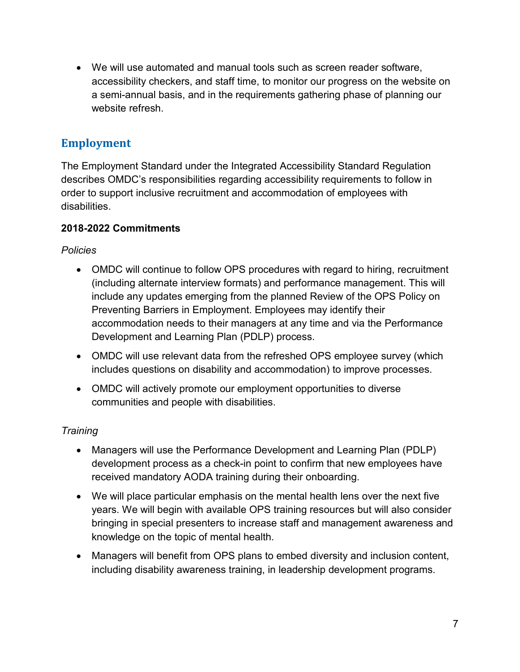• We will use automated and manual tools such as screen reader software, accessibility checkers, and staff time, to monitor our progress on the website on a semi-annual basis, and in the requirements gathering phase of planning our website refresh.

## **Employment**

The Employment Standard under the Integrated Accessibility Standard Regulation describes OMDC's responsibilities regarding accessibility requirements to follow in order to support inclusive recruitment and accommodation of employees with disabilities.

### **2018-2022 Commitments**

*Policies*

- OMDC will continue to follow OPS procedures with regard to hiring, recruitment (including alternate interview formats) and performance management. This will include any updates emerging from the planned Review of the OPS Policy on Preventing Barriers in Employment. Employees may identify their accommodation needs to their managers at any time and via the Performance Development and Learning Plan (PDLP) process.
- OMDC will use relevant data from the refreshed OPS employee survey (which includes questions on disability and accommodation) to improve processes.
- OMDC will actively promote our employment opportunities to diverse communities and people with disabilities.

### *Training*

- Managers will use the Performance Development and Learning Plan (PDLP) development process as a check-in point to confirm that new employees have received mandatory AODA training during their onboarding.
- We will place particular emphasis on the mental health lens over the next five years. We will begin with available OPS training resources but will also consider bringing in special presenters to increase staff and management awareness and knowledge on the topic of mental health.
- Managers will benefit from OPS plans to embed diversity and inclusion content, including disability awareness training, in leadership development programs.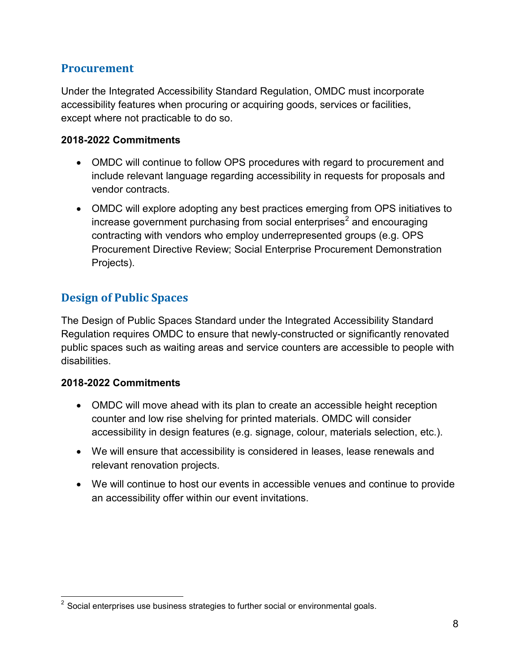### **Procurement**

Under the Integrated Accessibility Standard Regulation, OMDC must incorporate accessibility features when procuring or acquiring goods, services or facilities, except where not practicable to do so.

#### **2018-2022 Commitments**

- OMDC will continue to follow OPS procedures with regard to procurement and include relevant language regarding accessibility in requests for proposals and vendor contracts.
- OMDC will explore adopting any best practices emerging from OPS initiatives to increase government purchasing from social enterprises $2$  and encouraging contracting with vendors who employ underrepresented groups (e.g. OPS Procurement Directive Review; Social Enterprise Procurement Demonstration Projects).

### **Design of Public Spaces**

The Design of Public Spaces Standard under the Integrated Accessibility Standard Regulation requires OMDC to ensure that newly-constructed or significantly renovated public spaces such as waiting areas and service counters are accessible to people with disabilities.

#### **2018-2022 Commitments**

- OMDC will move ahead with its plan to create an accessible height reception counter and low rise shelving for printed materials. OMDC will consider accessibility in design features (e.g. signage, colour, materials selection, etc.).
- We will ensure that accessibility is considered in leases, lease renewals and relevant renovation projects.
- We will continue to host our events in accessible venues and continue to provide an accessibility offer within our event invitations.

<span id="page-7-0"></span> $\overline{\phantom{a}}$  $^{\rm 2}$  Social enterprises use business strategies to further social or environmental goals.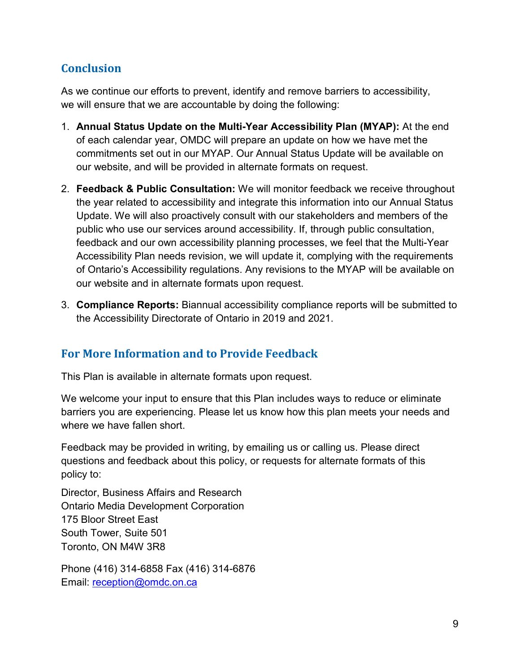## **Conclusion**

As we continue our efforts to prevent, identify and remove barriers to accessibility, we will ensure that we are accountable by doing the following:

- 1. **Annual Status Update on the Multi-Year Accessibility Plan (MYAP):** At the end of each calendar year, OMDC will prepare an update on how we have met the commitments set out in our MYAP. Our Annual Status Update will be available on our website, and will be provided in alternate formats on request.
- 2. **Feedback & Public Consultation:** We will monitor feedback we receive throughout the year related to accessibility and integrate this information into our Annual Status Update. We will also proactively consult with our stakeholders and members of the public who use our services around accessibility. If, through public consultation, feedback and our own accessibility planning processes, we feel that the Multi-Year Accessibility Plan needs revision, we will update it, complying with the requirements of Ontario's Accessibility regulations. Any revisions to the MYAP will be available on our website and in alternate formats upon request.
- 3. **Compliance Reports:** Biannual accessibility compliance reports will be submitted to the Accessibility Directorate of Ontario in 2019 and 2021.

## **For More Information and to Provide Feedback**

This Plan is available in alternate formats upon request.

We welcome your input to ensure that this Plan includes ways to reduce or eliminate barriers you are experiencing. Please let us know how this plan meets your needs and where we have fallen short.

Feedback may be provided in writing, by emailing us or calling us. Please direct questions and feedback about this policy, or requests for alternate formats of this policy to:

Director, Business Affairs and Research Ontario Media Development Corporation 175 Bloor Street East South Tower, Suite 501 Toronto, ON M4W 3R8

Phone (416) 314-6858 Fax (416) 314-6876 Email: reception@omdc.on.ca